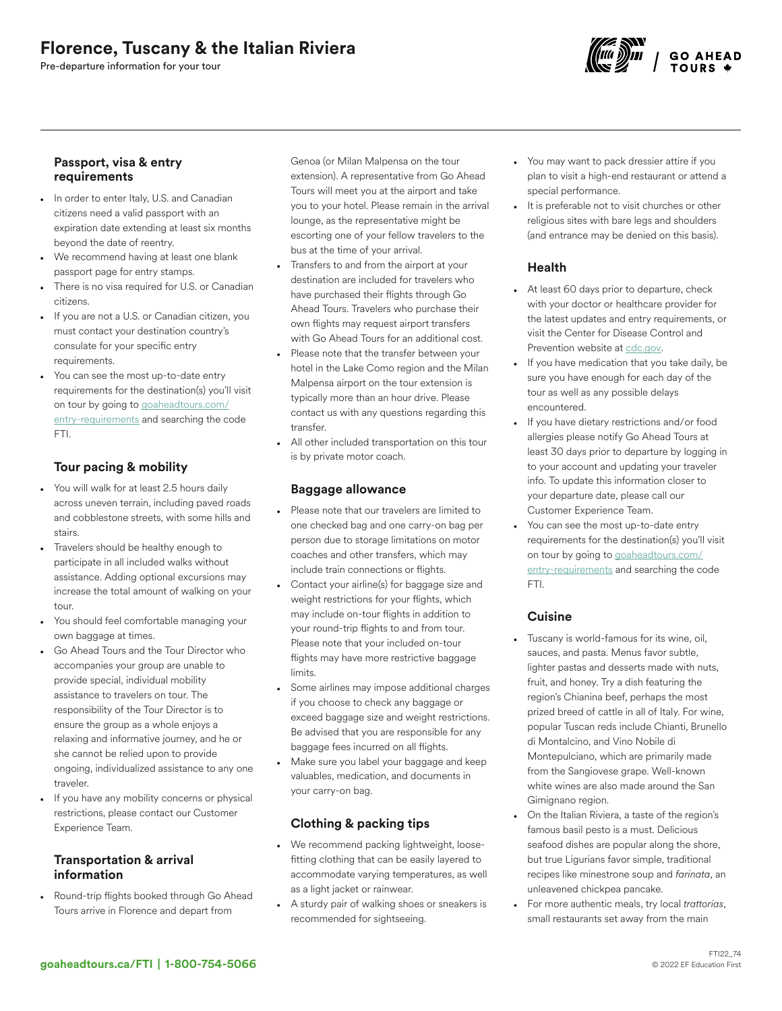# Florence, Tuscany & the Italian Riviera

Pre-departure information for your tour



#### Passport, visa & entry requirements

- In order to enter Italy, U.S. and Canadian citizens need a valid passport with an expiration date extending at least six months beyond the date of reentry.
- We recommend having at least one blank passport page for entry stamps.
- There is no visa required for U.S. or Canadian citizens.
- If you are not a U.S. or Canadian citizen, you must contact your destination country's consulate for your specific entry requirements.
- You can see the most up-to-date entry requirements for the destination(s) you'll visit on tour by going to [goaheadtours.com/](/entry-requirements?tourCode=FTI) [entry-requirements](/entry-requirements?tourCode=FTI) and searching the code FTI.

## Tour pacing & mobility

- You will walk for at least 2.5 hours daily across uneven terrain, including paved roads and cobblestone streets, with some hills and stairs.
- Travelers should be healthy enough to participate in all included walks without assistance. Adding optional excursions may increase the total amount of walking on your tour.
- You should feel comfortable managing your own baggage at times.
- Go Ahead Tours and the Tour Director who accompanies your group are unable to provide special, individual mobility assistance to travelers on tour. The responsibility of the Tour Director is to ensure the group as a whole enjoys a relaxing and informative journey, and he or she cannot be relied upon to provide ongoing, individualized assistance to any one traveler.
- If you have any mobility concerns or physical restrictions, please contact our Customer Experience Team.

### Transportation & arrival information

• Round-trip flights booked through Go Ahead Tours arrive in Florence and depart from

Genoa (or Milan Malpensa on the tour extension). A representative from Go Ahead Tours will meet you at the airport and take you to your hotel. Please remain in the arrival lounge, as the representative might be escorting one of your fellow travelers to the bus at the time of your arrival.

- Transfers to and from the airport at your destination are included for travelers who have purchased their flights through Go Ahead Tours. Travelers who purchase their own flights may request airport transfers with Go Ahead Tours for an additional cost.
- Please note that the transfer between your hotel in the Lake Como region and the Milan Malpensa airport on the tour extension is typically more than an hour drive. Please contact us with any questions regarding this transfer.
- All other included transportation on this tour is by private motor coach.

### Baggage allowance

- Please note that our travelers are limited to one checked bag and one carry-on bag per person due to storage limitations on motor coaches and other transfers, which may include train connections or flights.
- Contact your airline(s) for baggage size and weight restrictions for your flights, which may include on-tour flights in addition to your round-trip flights to and from tour. Please note that your included on-tour flights may have more restrictive baggage limits.
- Some airlines may impose additional charges if you choose to check any baggage or exceed baggage size and weight restrictions. Be advised that you are responsible for any baggage fees incurred on all flights.
- Make sure you label your baggage and keep valuables, medication, and documents in your carry-on bag.

## Clothing & packing tips

- We recommend packing lightweight, loosefitting clothing that can be easily layered to accommodate varying temperatures, as well as a light jacket or rainwear.
- A sturdy pair of walking shoes or sneakers is recommended for sightseeing.
- You may want to pack dressier attire if you plan to visit a high-end restaurant or attend a special performance.
- It is preferable not to visit churches or other religious sites with bare legs and shoulders (and entrance may be denied on this basis).

## Health

- At least 60 days prior to departure, check with your doctor or healthcare provider for the latest updates and entry requirements, or visit the Center for Disease Control and Prevention website at [cdc.gov.](https://www.cdc.gov/)
- If you have medication that you take daily, be sure you have enough for each day of the tour as well as any possible delays encountered.
- If you have dietary restrictions and/or food allergies please notify Go Ahead Tours at least 30 days prior to departure by logging in to your account and updating your traveler info. To update this information closer to your departure date, please call our Customer Experience Team.
- You can see the most up-to-date entry requirements for the destination(s) you'll visit on tour by going to [goaheadtours.com/](/entry-requirements?tourCode=FTI) [entry-requirements](/entry-requirements?tourCode=FTI) and searching the code FTI.

# **Cuisine**

- Tuscany is world-famous for its wine, oil, sauces, and pasta. Menus favor subtle, lighter pastas and desserts made with nuts, fruit, and honey. Try a dish featuring the region's Chianina beef, perhaps the most prized breed of cattle in all of Italy. For wine, popular Tuscan reds include Chianti, Brunello di Montalcino, and Vino Nobile di Montepulciano, which are primarily made from the Sangiovese grape. Well-known white wines are also made around the San Gimignano region.
- On the Italian Riviera, a taste of the region's famous basil pesto is a must. Delicious seafood dishes are popular along the shore, but true Ligurians favor simple, traditional recipes like minestrone soup and *farinata*, an unleavened chickpea pancake.
- For more authentic meals, try local *trattorias*, small restaurants set away from the main